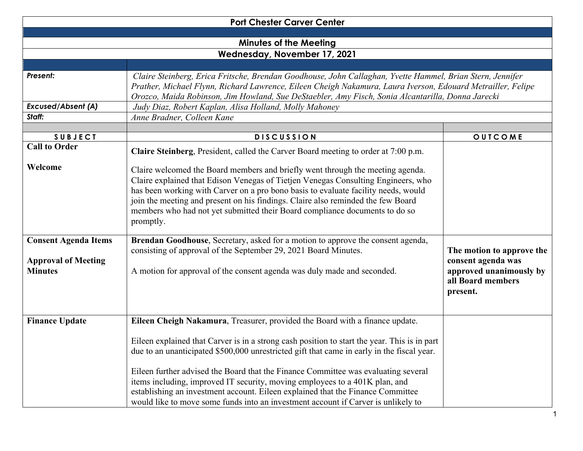| <b>Port Chester Carver Center</b>                                           |                                                                                                                                                                                                                                                                                                                                                                                                                                                    |                                                                                                             |  |  |
|-----------------------------------------------------------------------------|----------------------------------------------------------------------------------------------------------------------------------------------------------------------------------------------------------------------------------------------------------------------------------------------------------------------------------------------------------------------------------------------------------------------------------------------------|-------------------------------------------------------------------------------------------------------------|--|--|
|                                                                             |                                                                                                                                                                                                                                                                                                                                                                                                                                                    |                                                                                                             |  |  |
| <b>Minutes of the Meeting</b>                                               |                                                                                                                                                                                                                                                                                                                                                                                                                                                    |                                                                                                             |  |  |
|                                                                             | Wednesday, November 17, 2021                                                                                                                                                                                                                                                                                                                                                                                                                       |                                                                                                             |  |  |
|                                                                             |                                                                                                                                                                                                                                                                                                                                                                                                                                                    |                                                                                                             |  |  |
| <b>Present:</b>                                                             | Claire Steinberg, Erica Fritsche, Brendan Goodhouse, John Callaghan, Yvette Hammel, Brian Stern, Jennifer<br>Prather, Michael Flynn, Richard Lawrence, Eileen Cheigh Nakamura, Laura Iverson, Edouard Metrailler, Felipe                                                                                                                                                                                                                           |                                                                                                             |  |  |
|                                                                             | Orozco, Maida Robinson, Jim Howland, Sue DeStaebler, Amy Fisch, Sonia Alcantarilla, Donna Jarecki                                                                                                                                                                                                                                                                                                                                                  |                                                                                                             |  |  |
| <b>Excused/Absent (A)</b>                                                   | Judy Diaz, Robert Kaplan, Alisa Holland, Molly Mahoney                                                                                                                                                                                                                                                                                                                                                                                             |                                                                                                             |  |  |
| Staff:                                                                      | Anne Bradner, Colleen Kane                                                                                                                                                                                                                                                                                                                                                                                                                         |                                                                                                             |  |  |
|                                                                             |                                                                                                                                                                                                                                                                                                                                                                                                                                                    |                                                                                                             |  |  |
| <b>SUBJECT</b>                                                              | <b>DISCUSSION</b>                                                                                                                                                                                                                                                                                                                                                                                                                                  | OUTCOME                                                                                                     |  |  |
| <b>Call to Order</b>                                                        | Claire Steinberg, President, called the Carver Board meeting to order at 7:00 p.m.                                                                                                                                                                                                                                                                                                                                                                 |                                                                                                             |  |  |
| Welcome                                                                     | Claire welcomed the Board members and briefly went through the meeting agenda.<br>Claire explained that Edison Venegas of Tietjen Venegas Consulting Engineers, who<br>has been working with Carver on a pro bono basis to evaluate facility needs, would<br>join the meeting and present on his findings. Claire also reminded the few Board<br>members who had not yet submitted their Board compliance documents to do so<br>promptly.          |                                                                                                             |  |  |
| <b>Consent Agenda Items</b><br><b>Approval of Meeting</b><br><b>Minutes</b> | Brendan Goodhouse, Secretary, asked for a motion to approve the consent agenda,<br>consisting of approval of the September 29, 2021 Board Minutes.<br>A motion for approval of the consent agenda was duly made and seconded.                                                                                                                                                                                                                      | The motion to approve the<br>consent agenda was<br>approved unanimously by<br>all Board members<br>present. |  |  |
| <b>Finance Update</b>                                                       | Eileen Cheigh Nakamura, Treasurer, provided the Board with a finance update.                                                                                                                                                                                                                                                                                                                                                                       |                                                                                                             |  |  |
|                                                                             | Eileen explained that Carver is in a strong cash position to start the year. This is in part<br>due to an unanticipated \$500,000 unrestricted gift that came in early in the fiscal year.<br>Eileen further advised the Board that the Finance Committee was evaluating several<br>items including, improved IT security, moving employees to a 401K plan, and<br>establishing an investment account. Eileen explained that the Finance Committee |                                                                                                             |  |  |
|                                                                             | would like to move some funds into an investment account if Carver is unlikely to                                                                                                                                                                                                                                                                                                                                                                  |                                                                                                             |  |  |

1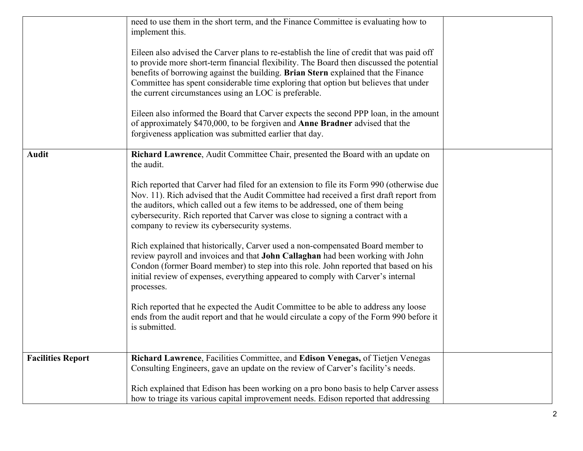|                          | need to use them in the short term, and the Finance Committee is evaluating how to<br>implement this.                                                                                                                                                                                                                                                                                                                       |  |
|--------------------------|-----------------------------------------------------------------------------------------------------------------------------------------------------------------------------------------------------------------------------------------------------------------------------------------------------------------------------------------------------------------------------------------------------------------------------|--|
|                          | Eileen also advised the Carver plans to re-establish the line of credit that was paid off<br>to provide more short-term financial flexibility. The Board then discussed the potential<br>benefits of borrowing against the building. Brian Stern explained that the Finance<br>Committee has spent considerable time exploring that option but believes that under<br>the current circumstances using an LOC is preferable. |  |
|                          | Eileen also informed the Board that Carver expects the second PPP loan, in the amount<br>of approximately \$470,000, to be forgiven and Anne Bradner advised that the<br>forgiveness application was submitted earlier that day.                                                                                                                                                                                            |  |
| <b>Audit</b>             | Richard Lawrence, Audit Committee Chair, presented the Board with an update on<br>the audit.                                                                                                                                                                                                                                                                                                                                |  |
|                          | Rich reported that Carver had filed for an extension to file its Form 990 (otherwise due<br>Nov. 11). Rich advised that the Audit Committee had received a first draft report from<br>the auditors, which called out a few items to be addressed, one of them being<br>cybersecurity. Rich reported that Carver was close to signing a contract with a<br>company to review its cybersecurity systems.                      |  |
|                          | Rich explained that historically, Carver used a non-compensated Board member to<br>review payroll and invoices and that John Callaghan had been working with John<br>Condon (former Board member) to step into this role. John reported that based on his<br>initial review of expenses, everything appeared to comply with Carver's internal<br>processes.                                                                 |  |
|                          | Rich reported that he expected the Audit Committee to be able to address any loose<br>ends from the audit report and that he would circulate a copy of the Form 990 before it<br>is submitted.                                                                                                                                                                                                                              |  |
| <b>Facilities Report</b> | Richard Lawrence, Facilities Committee, and Edison Venegas, of Tietjen Venegas<br>Consulting Engineers, gave an update on the review of Carver's facility's needs.                                                                                                                                                                                                                                                          |  |
|                          | Rich explained that Edison has been working on a pro bono basis to help Carver assess<br>how to triage its various capital improvement needs. Edison reported that addressing                                                                                                                                                                                                                                               |  |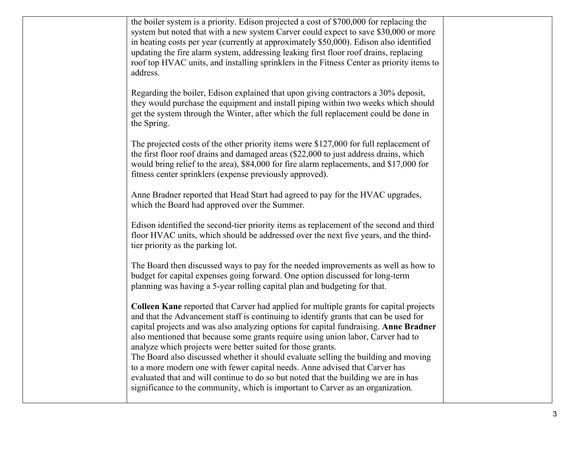the boiler system is a priority. Edison projected a cost of \$700,000 for replacing the system but noted that with a new system Carver could expect to save \$30,000 or more in heating costs per year (currently at approximately \$50,000). Edison also identified updating the fire alarm system, addressing leaking first floor roof drains, replacing roof top HVAC units, and installing sprinklers in the Fitness Center as priority items to address.

Regarding the boiler, Edison explained that upon giving contractors a 30% deposit, they would purchase the equipment and install piping within two weeks which should get the system through the Winter, after which the full replacement could be done in the Spring.

The projected costs of the other priority items were \$127,000 for full replacement of the first floor roof drains and damaged areas (\$22,000 to just address drains, which would bring relief to the area), \$84,000 for fire alarm replacements, and \$17,000 for fitness center sprinklers (expense previously approved).

Anne Bradner reported that Head Start had agreed to pay for the HVAC upgrades, which the Board had approved over the Summer.

Edison identified the second-tier priority items as replacement of the second and third floor HVAC units, which should be addressed over the next five years, and the thirdtier priority as the parking lot.

The Board then discussed ways to pay for the needed improvements as well as how to budget for capital expenses going forward. One option discussed for long-term planning was having a 5-year rolling capital plan and budgeting for that.

**Colleen Kane** reported that Carver had applied for multiple grants for capital projects and that the Advancement staff is continuing to identify grants that can be used for capital projects and was also analyzing options for capital fundraising. **Anne Bradner** also mentioned that because some grants require using union labor, Carver had to analyze which projects were better suited for those grants.

The Board also discussed whether it should evaluate selling the building and moving to a more modern one with fewer capital needs. Anne advised that Carver has evaluated that and will continue to do so but noted that the building we are in has significance to the community, which is important to Carver as an organization.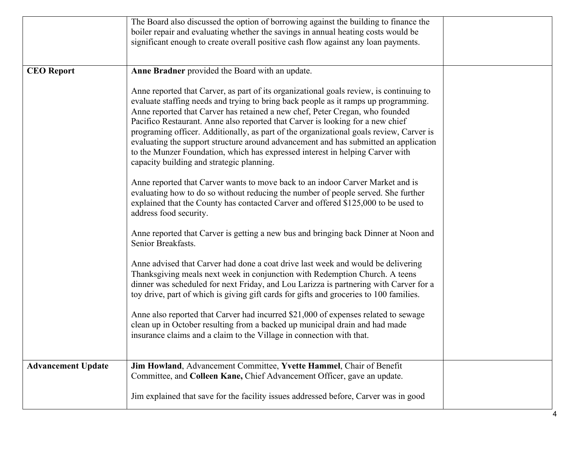|                           | The Board also discussed the option of borrowing against the building to finance the<br>boiler repair and evaluating whether the savings in annual heating costs would be<br>significant enough to create overall positive cash flow against any loan payments.                                                                                                                                                                                                                                                                                                                                                                                                                                                                                                                                                                                                                                                                                                                                                                                                                                                                                                                                                                                                                                                                                                                                                                                                                                                                                                                                                                                                                                                             |  |
|---------------------------|-----------------------------------------------------------------------------------------------------------------------------------------------------------------------------------------------------------------------------------------------------------------------------------------------------------------------------------------------------------------------------------------------------------------------------------------------------------------------------------------------------------------------------------------------------------------------------------------------------------------------------------------------------------------------------------------------------------------------------------------------------------------------------------------------------------------------------------------------------------------------------------------------------------------------------------------------------------------------------------------------------------------------------------------------------------------------------------------------------------------------------------------------------------------------------------------------------------------------------------------------------------------------------------------------------------------------------------------------------------------------------------------------------------------------------------------------------------------------------------------------------------------------------------------------------------------------------------------------------------------------------------------------------------------------------------------------------------------------------|--|
| <b>CEO</b> Report         | Anne Bradner provided the Board with an update.<br>Anne reported that Carver, as part of its organizational goals review, is continuing to<br>evaluate staffing needs and trying to bring back people as it ramps up programming.<br>Anne reported that Carver has retained a new chef, Peter Cregan, who founded<br>Pacifico Restaurant. Anne also reported that Carver is looking for a new chief<br>programing officer. Additionally, as part of the organizational goals review, Carver is<br>evaluating the support structure around advancement and has submitted an application<br>to the Munzer Foundation, which has expressed interest in helping Carver with<br>capacity building and strategic planning.<br>Anne reported that Carver wants to move back to an indoor Carver Market and is<br>evaluating how to do so without reducing the number of people served. She further<br>explained that the County has contacted Carver and offered \$125,000 to be used to<br>address food security.<br>Anne reported that Carver is getting a new bus and bringing back Dinner at Noon and<br>Senior Breakfasts.<br>Anne advised that Carver had done a coat drive last week and would be delivering<br>Thanksgiving meals next week in conjunction with Redemption Church. A teens<br>dinner was scheduled for next Friday, and Lou Larizza is partnering with Carver for a<br>toy drive, part of which is giving gift cards for gifts and groceries to 100 families.<br>Anne also reported that Carver had incurred \$21,000 of expenses related to sewage<br>clean up in October resulting from a backed up municipal drain and had made<br>insurance claims and a claim to the Village in connection with that. |  |
| <b>Advancement Update</b> | Jim Howland, Advancement Committee, Yvette Hammel, Chair of Benefit<br>Committee, and Colleen Kane, Chief Advancement Officer, gave an update.<br>Jim explained that save for the facility issues addressed before, Carver was in good                                                                                                                                                                                                                                                                                                                                                                                                                                                                                                                                                                                                                                                                                                                                                                                                                                                                                                                                                                                                                                                                                                                                                                                                                                                                                                                                                                                                                                                                                      |  |